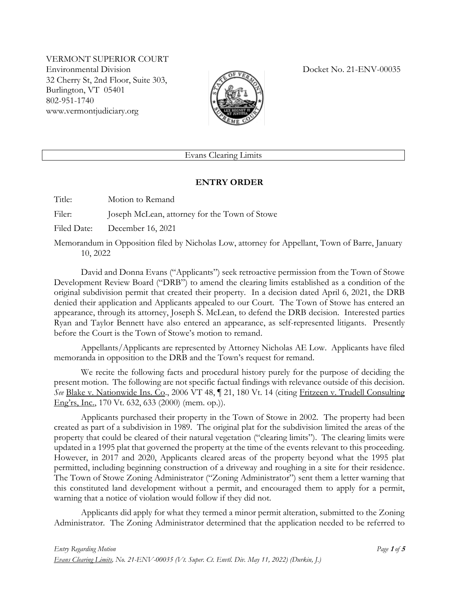VERMONT SUPERIOR COURT Environmental Division Docket No. 21-ENV-00035 32 Cherry St, 2nd Floor, Suite 303, Burlington, VT 05401 802-951-1740 www.vermontjudiciary.org



Evans Clearing Limits

## **ENTRY ORDER**

Title: Motion to Remand

Filer: Joseph McLean, attorney for the Town of Stowe

Filed Date: December 16, 2021

Memorandum in Opposition filed by Nicholas Low, attorney for Appellant, Town of Barre, January 10, 2022

David and Donna Evans ("Applicants") seek retroactive permission from the Town of Stowe Development Review Board ("DRB") to amend the clearing limits established as a condition of the original subdivision permit that created their property. In a decision dated April 6, 2021, the DRB denied their application and Applicants appealed to our Court. The Town of Stowe has entered an appearance, through its attorney, Joseph S. McLean, to defend the DRB decision. Interested parties Ryan and Taylor Bennett have also entered an appearance, as self-represented litigants. Presently before the Court is the Town of Stowe's motion to remand.

Appellants/Applicants are represented by Attorney Nicholas AE Low. Applicants have filed memoranda in opposition to the DRB and the Town's request for remand.

We recite the following facts and procedural history purely for the purpose of deciding the present motion. The following are not specific factual findings with relevance outside of this decision. *See* Blake v. Nationwide Ins. Co., 2006 VT 48, ¶ 21, 180 Vt. 14 (citing Fritzeen v. Trudell Consulting Eng'rs, Inc., 170 Vt. 632, 633 (2000) (mem. op.)).

Applicants purchased their property in the Town of Stowe in 2002. The property had been created as part of a subdivision in 1989. The original plat for the subdivision limited the areas of the property that could be cleared of their natural vegetation ("clearing limits"). The clearing limits were updated in a 1995 plat that governed the property at the time of the events relevant to this proceeding. However, in 2017 and 2020, Applicants cleared areas of the property beyond what the 1995 plat permitted, including beginning construction of a driveway and roughing in a site for their residence. The Town of Stowe Zoning Administrator ("Zoning Administrator") sent them a letter warning that this constituted land development without a permit, and encouraged them to apply for a permit, warning that a notice of violation would follow if they did not.

Applicants did apply for what they termed a minor permit alteration, submitted to the Zoning Administrator. The Zoning Administrator determined that the application needed to be referred to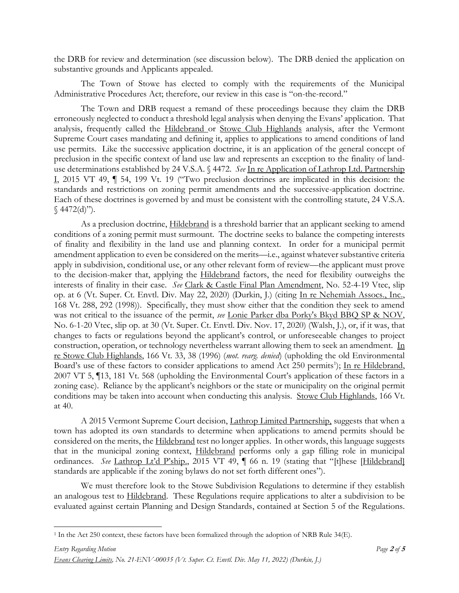the DRB for review and determination (see discussion below). The DRB denied the application on substantive grounds and Applicants appealed.

The Town of Stowe has elected to comply with the requirements of the Municipal Administrative Procedures Act; therefore, our review in this case is "on-the-record."

The Town and DRB request a remand of these proceedings because they claim the DRB erroneously neglected to conduct a threshold legal analysis when denying the Evans' application. That analysis, frequently called the Hildebrand or Stowe Club Highlands analysis, after the Vermont Supreme Court cases mandating and defining it, applies to applications to amend conditions of land use permits. Like the successive application doctrine, it is an application of the general concept of preclusion in the specific context of land use law and represents an exception to the finality of landuse determinations established by 24 V.S.A. § 4472. *See* In re Application of Lathrop Ltd. Partnership I, 2015 VT 49, ¶ 54, 199 Vt. 19 ("Two preclusion doctrines are implicated in this decision: the standards and restrictions on zoning permit amendments and the successive-application doctrine. Each of these doctrines is governed by and must be consistent with the controlling statute, 24 V.S.A.  $§$  4472(d)").

As a preclusion doctrine, **Hildebrand** is a threshold barrier that an applicant seeking to amend conditions of a zoning permit must surmount. The doctrine seeks to balance the competing interests of finality and flexibility in the land use and planning context. In order for a municipal permit amendment application to even be considered on the merits—i.e., against whatever substantive criteria apply in subdivision, conditional use, or any other relevant form of review—the applicant must prove to the decision-maker that, applying the Hildebrand factors, the need for flexibility outweighs the interests of finality in their case. *See* Clark & Castle Final Plan Amendment, No. 52-4-19 Vtec, slip op. at 6 (Vt. Super. Ct. Envtl. Div. May 22, 2020) (Durkin, J.) (citing In re Nehemiah Assocs., Inc., 168 Vt. 288, 292 (1998)). Specifically, they must show either that the condition they seek to amend was not critical to the issuance of the permit, *see* Lonie Parker dba Porky's Bkyd BBQ SP & NOV, No. 6-1-20 Vtec, slip op. at 30 (Vt. Super. Ct. Envtl. Div. Nov. 17, 2020) (Walsh, J.), or, if it was, that changes to facts or regulations beyond the applicant's control, or unforeseeable changes to project construction, operation, or technology nevertheless warrant allowing them to seek an amendment. In re Stowe Club Highlands, 166 Vt. 33, 38 (1996) (*mot. rearg. denied*) (upholding the old Environmental Board's use of these factors to consider applications to amend Act 250 permits<sup>1</sup>); In re Hildebrand, 2007 VT 5, ¶13, 181 Vt. 568 (upholding the Environmental Court's application of these factors in a zoning case). Reliance by the applicant's neighbors or the state or municipality on the original permit conditions may be taken into account when conducting this analysis. Stowe Club Highlands, 166 Vt. at 40.

A 2015 Vermont Supreme Court decision, Lathrop Limited Partnership, suggests that when a town has adopted its own standards to determine when applications to amend permits should be considered on the merits, the Hildebrand test no longer applies. In other words, this language suggests that in the municipal zoning context, Hildebrand performs only a gap filling role in municipal ordinances. *See* Lathrop Lt'd P'ship., 2015 VT 49, ¶ 66 n. 19 (stating that "[t]hese [Hildebrand] standards are applicable if the zoning bylaws do not set forth different ones").

We must therefore look to the Stowe Subdivision Regulations to determine if they establish an analogous test to Hildebrand. These Regulations require applications to alter a subdivision to be evaluated against certain Planning and Design Standards, contained at Section 5 of the Regulations.

<sup>1</sup> In the Act 250 context, these factors have been formalized through the adoption of NRB Rule 34(E).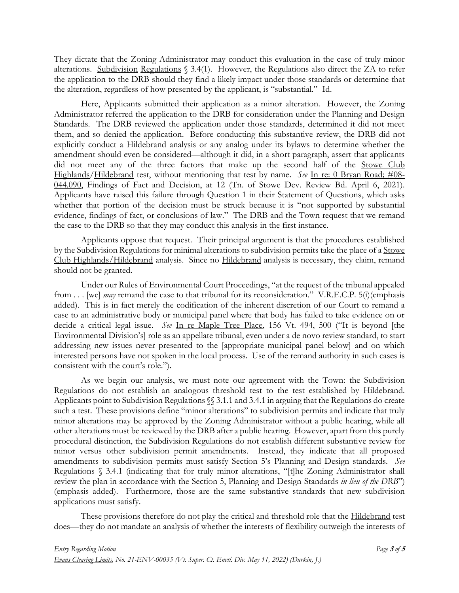They dictate that the Zoning Administrator may conduct this evaluation in the case of truly minor alterations. Subdivision Regulations § 3.4(1). However, the Regulations also direct the ZA to refer the application to the DRB should they find a likely impact under those standards or determine that the alteration, regardless of how presented by the applicant, is "substantial." Id.

Here, Applicants submitted their application as a minor alteration. However, the Zoning Administrator referred the application to the DRB for consideration under the Planning and Design Standards. The DRB reviewed the application under those standards, determined it did not meet them, and so denied the application. Before conducting this substantive review, the DRB did not explicitly conduct a Hildebrand analysis or any analog under its bylaws to determine whether the amendment should even be considered—although it did, in a short paragraph, assert that applicants did not meet any of the three factors that make up the second half of the Stowe Club Highlands/Hildebrand test, without mentioning that test by name. *See* In re: 0 Bryan Road; #08- 044.090, Findings of Fact and Decision, at 12 (Tn. of Stowe Dev. Review Bd. April 6, 2021). Applicants have raised this failure through Question 1 in their Statement of Questions, which asks whether that portion of the decision must be struck because it is "not supported by substantial evidence, findings of fact, or conclusions of law." The DRB and the Town request that we remand the case to the DRB so that they may conduct this analysis in the first instance.

Applicants oppose that request. Their principal argument is that the procedures established by the Subdivision Regulations for minimal alterations to subdivision permits take the place of a Stowe Club Highlands/Hildebrand analysis. Since no Hildebrand analysis is necessary, they claim, remand should not be granted.

Under our Rules of Environmental Court Proceedings, "at the request of the tribunal appealed from . . . [we] *may* remand the case to that tribunal for its reconsideration." V.R.E.C.P. 5(i)(emphasis added). This is in fact merely the codification of the inherent discretion of our Court to remand a case to an administrative body or municipal panel where that body has failed to take evidence on or decide a critical legal issue. *See* In re Maple Tree Place, 156 Vt. 494, 500 ("It is beyond [the Environmental Division's] role as an appellate tribunal, even under a de novo review standard, to start addressing new issues never presented to the [appropriate municipal panel below] and on which interested persons have not spoken in the local process. Use of the remand authority in such cases is consistent with the court's role.").

As we begin our analysis, we must note our agreement with the Town: the Subdivision Regulations do not establish an analogous threshold test to the test established by Hildebrand. Applicants point to Subdivision Regulations §§ 3.1.1 and 3.4.1 in arguing that the Regulations do create such a test. These provisions define "minor alterations" to subdivision permits and indicate that truly minor alterations may be approved by the Zoning Administrator without a public hearing, while all other alterations must be reviewed by the DRB after a public hearing. However, apart from this purely procedural distinction, the Subdivision Regulations do not establish different substantive review for minor versus other subdivision permit amendments. Instead, they indicate that all proposed amendments to subdivision permits must satisfy Section 5's Planning and Design standards. *See*  Regulations § 3.4.1 (indicating that for truly minor alterations, "[t]he Zoning Administrator shall review the plan in accordance with the Section 5, Planning and Design Standards *in lieu of the DRB*") (emphasis added). Furthermore, those are the same substantive standards that new subdivision applications must satisfy.

These provisions therefore do not play the critical and threshold role that the **Hildebrand** test does—they do not mandate an analysis of whether the interests of flexibility outweigh the interests of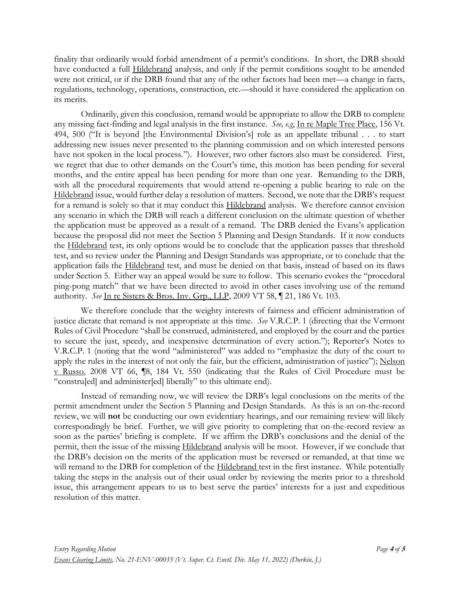finality that ordinarily would forbid amendment of a permit's conditions. In short, the DRB should have conducted a full **Hildebrand** analysis, and only if the permit conditions sought to be amended were not critical, or if the DRB found that any of the other factors had been met—a change in facts, regulations, technology, operations, construction, etc.—should it have considered the application on its merits.

Ordinarily, given this conclusion, remand would be appropriate to allow the DRB to complete any missing fact-finding and legal analysis in the first instance. *See, e.g*, In re Maple Tree Place, 156 Vt. 494, 500 ("It is beyond [the Environmental Division's] role as an appellate tribunal . . . to start addressing new issues never presented to the planning commission and on which interested persons have not spoken in the local process."). However, two other factors also must be considered. First, we regret that due to other demands on the Court's time, this motion has been pending for several months, and the entire appeal has been pending for more than one year. Remanding to the DRB, with all the procedural requirements that would attend re-opening a public hearing to rule on the Hildebrand issue, would further delay a resolution of matters. Second, we note that the DRB's request for a remand is solely so that it may conduct this **Hildebrand** analysis. We therefore cannot envision any scenario in which the DRB will reach a different conclusion on the ultimate question of whether the application must be approved as a result of a remand. The DRB denied the Evans's application because the proposal did not meet the Section 5 Planning and Design Standards. If it now conducts the Hildebrand test, its only options would be to conclude that the application passes that threshold test, and so review under the Planning and Design Standards was appropriate, or to conclude that the application fails the Hildebrand test, and must be denied on that basis, instead of based on its flaws under Section 5. Either way an appeal would be sure to follow. This scenario evokes the "procedural ping-pong match" that we have been directed to avoid in other cases involving use of the remand authority. *See* In re Sisters & Bros. Inv. Grp., LLP, 2009 VT 58, ¶ 21, 186 Vt. 103.

We therefore conclude that the weighty interests of fairness and efficient administration of justice dictate that remand is not appropriate at this time. *See* V.R.C.P. 1 (directing that the Vermont Rules of Civil Procedure "shall be construed, administered, and employed by the court and the parties to secure the just, speedy, and inexpensive determination of every action."); Reporter's Notes to V.R.C.P. 1 (noting that the word "administered" was added to "emphasize the duty of the court to apply the rules in the interest of not only the fair, but the efficient, administration of justice"); Nelson v Russo, 2008 VT 66, ¶8, 184 Vt. 550 (indicating that the Rules of Civil Procedure must be "constru[ed] and administer[ed] liberally" to this ultimate end).

Instead of remanding now, we will review the DRB's legal conclusions on the merits of the permit amendment under the Section 5 Planning and Design Standards. As this is an on-the-record review, we will **not** be conducting our own evidentiary hearings, and our remaining review will likely correspondingly be brief. Further, we will give priority to completing that on-the-record review as soon as the parties' briefing is complete. If we affirm the DRB's conclusions and the denial of the permit, then the issue of the missing Hildebrand analysis will be moot. However, if we conclude that the DRB's decision on the merits of the application must be reversed or remanded, at that time we will remand to the DRB for completion of the Hildebrand test in the first instance. While potentially taking the steps in the analysis out of their usual order by reviewing the merits prior to a threshold issue, this arrangement appears to us to best serve the parties' interests for a just and expeditious resolution of this matter.